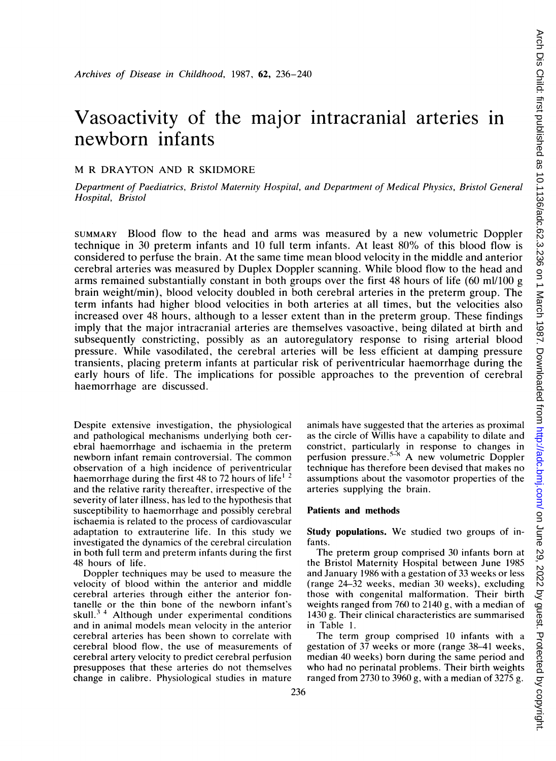# Vasoactivity of the major intracranial arteries in newborn infants

#### M R DRAYTON AND R SKIDMORE

Department of Paediatrics, Bristol Maternity Hospital, and Department of Medical Physics, Bristol General Hospital, Bristol

SUMMARY Blood flow to the head and arms was measured by a new volumetric Doppler technique in 30 preterm infants and 10 full term infants. At least 80% of this blood flow is considered to perfuse the brain. At the same time mean blood velocity in the middle and anterior cerebral arteries was measured by Duplex Doppler scanning. While blood flow to the head and arms remained substantially constant in both groups over the first 48 hours of life (60 ml/100 g brain weight/min), blood velocity doubled in both cerebral arteries in the preterm group. The term infants had higher blood velocities in both arteries at all times, but the velocities also increased over 48 hours, although to a lesser extent than in the preterm group. These findings imply that the major intracranial arteries are themselves vasoactive, being dilated at birth and subsequently constricting, possibly as an autoregulatory response to rising arterial blood pressure. While vasodilated, the cerebral arteries will be less efficient at damping pressure transients, placing preterm infants at particular risk of periventricular haemorrhage during the early hours of life. The implications for possible approaches to the prevention of cerebral haemorrhage are discussed.

Despite extensive investigation, the physiological and pathological mechanisms underlying both cerebral haemorrhage and ischaemia in the preterm newborn infant remain controversial. The common observation of a high incidence of periventricular haemorrhage during the first 48 to 72 hours of life<sup>1</sup> and the relative rarity thereafter, irrespective of the severity of later illness, has led to the hypothesis that susceptibility to haemorrhage and possibly cerebral ischaemia is related to the process of cardiovascular adaptation to extrauterine life. In this study we investigated the dynamics of the cerebral circulation in both full term and preterm infants during the first 48 hours of life.

Doppler techniques may be used to measure the velocity of blood within the anterior and middle cerebral arteries through either the anterior fontanelle or the thin bone of the newborn infant's skull. $3/4$  Although under experimental conditions and in animal models mean velocity in the anterior cerebral arteries has been shown to correlate with cerebral blood flow, the use of measurements of cerebral artery velocity to predict cerebral perfusion presupposes that these arteries do not themselves change in calibre. Physiological studies in mature animals have suggested that the arteries as proximal as the circle of Willis have a capability to dilate and constrict, particularly in response to changes in<br>perfusion pressure.<sup>5-8</sup> A new volumetric Doppler technique has therefore been devised that makes no assumptions about the vasomotor properties of the arteries supplying the brain.

## Patients and methods

Study populations. We studied two groups of infants.

The preterm group comprised 30 infants born at the Bristol Maternity Hospital between June 1985 and January 1986 with a gestation of 33 weeks or less (range 24-32 weeks, median 30 weeks), excluding those with congenital malformation. Their birth weights ranged from 760 to 2140 g, with a median of 1430 g. Their clinical characteristics are summarised in Table 1.

The term group comprised 10 infants with a gestation of 37 weeks or more (range 38-41 weeks, median 40 weeks) born during the same period and who had no perinatal problems. Their birth weights ranged from 2730 to 3960 g, with a median of 3275 g.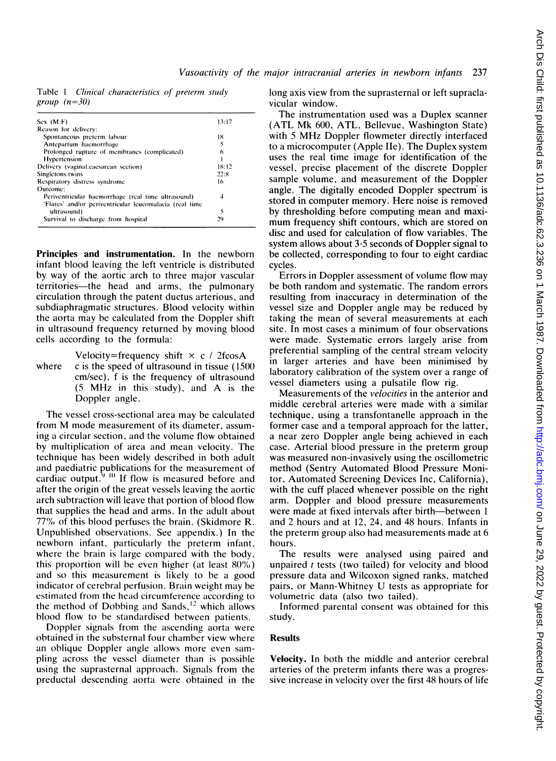Table 1 Clinical characteristics of preterm study group  $(n=30)$ 

| $Sex$ $(M: F)$                                          | 13:17 |
|---------------------------------------------------------|-------|
| Reason for delivery:                                    |       |
| Spontaneous preterm labour                              | 18    |
| Antepartum haemorrhage                                  | 5     |
| Prolonged rupture of membranes (complicated)            | 6     |
| Hypertension                                            |       |
| Delivery (vaginal:caesarean section)                    | 18:12 |
| Singletons: twins                                       | 22.8  |
| Respiratory distress syndrome                           | 16    |
| Outcome:                                                |       |
| Periventricular haemorrhage (real time ultrasound)      | 4     |
| 'Flares' and/or periventricular leucomalacia (real time |       |
| ultrasound)                                             | 5     |
| Survival to discharge from hospital                     | 29    |
|                                                         |       |

Principles and instrumentation. In the newborn infant blood leaving the left ventricle is distributed by way of the aortic arch to three major vascular territories-the head and arms, the pulmonary circulation through the patent ductus arterious, and subdiaphragmatic structures. Blood velocity within the aorta may be calculated from the Doppler shift in ultrasound frequency returned by moving blood cells according to the formula:

Velocity=frequency shift  $\times$  c / 2fcosA where  $\cdot$  c is the speed of ultrasound in tissue (1500) cm/sec), f is the frequency of ultrasound (5 MHz in this study), and A is the Doppler angle.

The vessel cross-sectional area may be calculated from M mode measurement of its diameter, assuming a circular section, and the volume flow obtained by multiplication of area and mean velocity. The technique has been widely described in both adult and paediatric publications for the measurement of cardiac output.<sup>9 "I</sup> If flow is measured before and after the origin of the great vessels leaving the aortic arch subtraction will leave that portion of blood flow that supplies the head and arms. In the adult about 77% of this blood perfuses the brain. (Skidmore R. Unpublished observations. See appendix.) In the newborn infant, particularly the preterm infant, where the brain is large compared with the body, this proportion will be even higher (at least  $80\%$ ) and so this measurement is likely to be a good indicator of cerebral perfusion. Brain weight may be estimated from the head circumference according to the method of Dobbing and Sands,<sup>12</sup> which allows blood flow to be standardised between patients.

Doppler signals from the ascending aorta were obtained in the substernal four chamber view where an oblique Doppler angle allows more even sampling across the vessel diameter than is possible using the suprasternal approach. Signals from the preductal descending aorta were obtained in the long axis view from the suprasternal or left supraclavicular window.

The instrumentation used was a Duplex scanner (ATL Mk 600, ATL, Bellevue, Washington State) with <sup>5</sup> MHz Doppler flowmeter directly interfaced to a microcomputer (Apple Ile). The Duplex system uses the real time image for identification of the vessel, precise placement of the discrete Doppler sample volume, and measurement of the Doppler angle. The digitally encoded Doppler spectrum is stored in computer memory. Here noise is removed by thresholding before computing mean and maximum frequency shift contours, which are stored on disc and used for calculation of flow variables. The system allows about  $3.5$  seconds of Doppler signal to be collected, corresponding to four to eight cardiac cycles.

Errors in Doppler assessment of volume flow may be both random and systematic. The random errors resulting from inaccuracy in determination of the vessel size and Doppler angle may be reduced by taking the mean of several measurements at each site. In most cases a minimum of four observations were made. Systematic errors largely arise from preferential sampling of the central stream velocity in larger arteries and have been minimised by laboratory calibration of the system over a range of vessel diameters using a pulsatile flow rig.

Measurements of the *velocities* in the anterior and middle cerebral arteries were made with a similar technique, using a transfontanelle approach in the former case and a temporal approach for the latter, a near zero Doppler angle being achieved in each case. Arterial blood pressure in the preterm group was measured non-invasively using the oscillometric method (Sentry Automated Blood Pressure Monitor, Automated Screening Devices Inc, California), with the cuff placed whenever possible on the right arm. Doppler and blood pressure measurements were made at fixed intervals after birth-between 1 and 2 hours and at 12, 24, and 48 hours. Infants in the preterm group also had measurements made at 6 hours.

The results were analysed using paired and unpaired  $t$  tests (two tailed) for velocity and blood pressure data and Wilcoxon signed ranks, matched pairs, or Mann-Whitney U tests as appropriate for volumetric data (also two tailed).

Informed parental consent was obtained for this study.

### Results

Velocity. In both the middle and anterior cerebral arteries of the preterm infants there was a progressive increase in velocity over the first 48 hours of life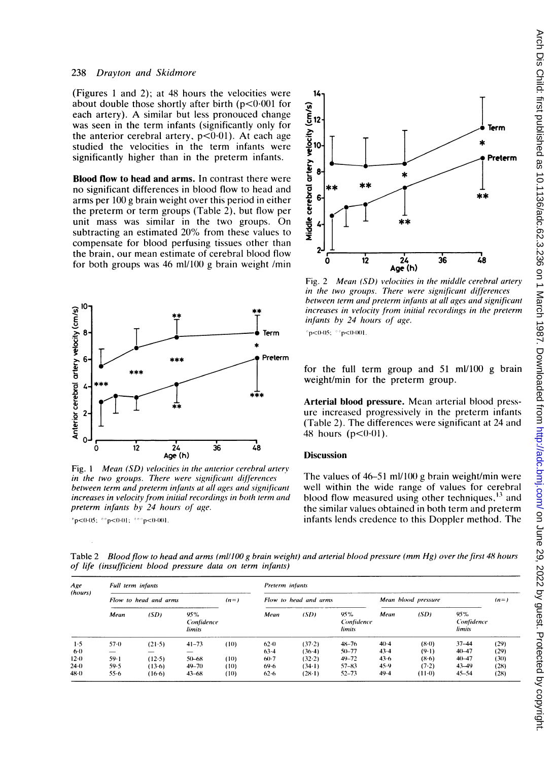#### 238 Drayton and Skidmore

(Figures <sup>1</sup> and 2); at 48 hours the velocities were about double those shortly after birth  $(p<0.001$  for each artery). A similar but less pronouced change was seen in the term infants (significantly only for the anterior cerebral artery,  $p<0.01$ ). At each age studied the velocities in the term infants were significantly higher than in the preterm infants.

Blood flow to head and arms. In contrast there were no significant differences in blood flow to head and arms per 100 g brain weight over this period in either the preterm or term groups (Table 2), but flow per unit mass was similar in the two groups. On subtracting an estimated 20% from these values to compensate for blood perfusing tissues other than the brain, our mean estimate of cerebral blood flow for both groups was 46 ml/100 g brain weight /min



Fig. <sup>1</sup> Mean (SD) velocities in the anterior cerebral artery in the two groups. There were significant differences between term and preterm infants at all ages and significant increases in velocity from initial recordings in both term and preterm infants by 24 hours of age.

\* $p < 0.05$ ; \*\* $p < 0.01$ ; \*\*\* $p < 0.001$ .



Fig. 2 Mean (SD) velocities in the middle cerebral artery in the two groups. There were significant differences between term and preterm infants at all ages and significant increases in velocity from initial recordings in the preterm infants by 24 hours of age.

 $^{\circ}$ p<0.05;  $^{\circ}$  $^{\circ}$ p<0.001.

for the full term group and 51 ml/100 g brain weight/min for the preterm group.

Arterial blood pressure. Mean arterial blood pressure increased progressively in the preterm infants (Table 2). The differences were significant at 24 and 48 hours  $(p<0.01)$ .

#### **Discussion**

The values of  $46-51$  ml/100 g brain weight/min were well within the wide range of values for cerebral blood flow measured using other techniques,  $^{13}$  and the similar values obtained in both term and preterm infants lends credence to this Doppler method. The

Table 2 Blood flow to head and arms (ml/100 g brain weight) and arterial blood pressure (mm Hg) over the first 48 hours of life (insufficient blood pressure data on term infants)

| Age<br>(hours) | Full term infants     |          |                             |         | Preterm infants       |          |                             |                     |          |                             |        |  |
|----------------|-----------------------|----------|-----------------------------|---------|-----------------------|----------|-----------------------------|---------------------|----------|-----------------------------|--------|--|
|                | Flow to head and arms |          |                             | $(n=1)$ | Flow to head and arms |          |                             | Mean blood pressure |          |                             | $(n=)$ |  |
|                | Mean                  | (SD)     | 95%<br>Confidence<br>limits |         | Mean                  | (SD)     | 95%<br>Confidence<br>limits | Mean                | (SD)     | 95%<br>Confidence<br>limits |        |  |
| 1.5            | $57-0$                | (21.5)   | $41 - 73$                   | (10)    | $62-0$                | (37.2)   | $48 - 76$                   | $40-4$              | $(8-0)$  | $37 - 44$                   | (29)   |  |
| $6 - 0$        |                       |          |                             |         | $63 - 4$              | $(36-4)$ | $50 - 77$                   | $43 - 4$            | $(9-1)$  | $40 - 47$                   | (29)   |  |
| 12.0           | $59-1$                | (12.5)   | $50 - 68$                   | (10)    | $60-7$                | (32.2)   | $49 - 72$                   | 43.6                | $(8-6)$  | $40 - 47$                   | (30)   |  |
| 24.0           | 59.5                  | (13.6)   | $49 - 70$                   | (10)    | 69.6                  | $(34-1)$ | $57 - 83$                   | 45.9                | (7.2)    | 43-49                       | (28)   |  |
| $48 - 0$       | $55 - 6$              | $(16-6)$ | $43 - 68$                   | (10)    | 62.6                  | $(28-1)$ | $52 - 73$                   | 49.4                | $(11-0)$ | $45 - 54$                   | (28)   |  |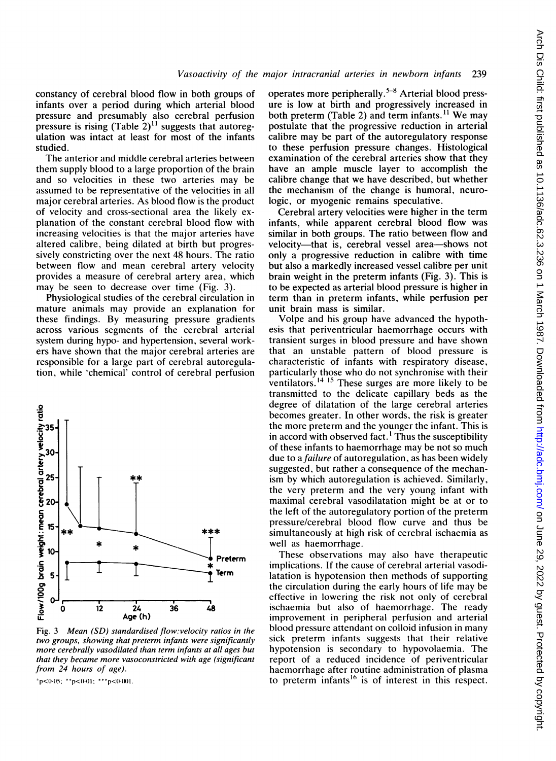constancy of cerebral blood flow in both groups of infants over a period during which arterial blood pressure and presumably also cerebral perfusion pressure is rising  $(Table 2)^{11}$  suggests that autoregulation was intact at least for most of the infants studied.

The anterior and middle cerebral arteries between them supply blood to a large proportion of the brain and so velocities in these two arteries may be assumed to be representative of the velocities in all major cerebral arteries. As blood flow is the product of velocity and cross-sectional area the likely explanation of the constant cerebral blood flow with increasing velocities is that the major arteries have altered calibre, being dilated at birth but progressively constricting over the next 48 hours. The ratio between flow and mean cerebral artery velocity provides a measure of cerebral artery area, which may be seen to decrease over time (Fig. 3).

Physiological studies of the cerebral circulation in mature animals may provide an explanation for these findings. By measuring pressure gradients across various segments of the cerebral arterial system during hypo- and hypertension, several workers have shown that the major cerebral arteries are responsible for a large part of cerebral autoregulation, while 'chemical' control of cerebral perfusion



Fig. 3 Mean (SD) standardised flow:velocity ratios in the two groups, showing that preterm infants were significantly more cerebrally vasodilated than term infants at all ages but that they became more vasoconstricted with age (significant from 24 hours of age).

 $*p<0.05$ ;  $*p<0.01$ ;  $***p<0.001$ .

operates more peripherally.<sup>5-8</sup> Arterial blood pressure is low at birth and progressively increased in both preterm (Table 2) and term infants.<sup>11</sup> We may postulate that the progressive reduction in arterial calibre may be part of the autoregulatory response to these perfusion pressure changes. Histological examination of the cerebral arteries show that they have an ample muscle layer to accomplish the calibre change that we have described, but whether the mechanism of the change is humoral, neurologic, or myogenic remains speculative.

Cerebral artery velocities were higher in the term infants, while apparent cerebral blood flow was similar in both groups. The ratio between flow and velocity-that is, cerebral vessel area-shows not only a progressive reduction in calibre with time but also a markedly increased vessel calibre per unit brain weight in the preterm infants (Fig. 3). This is to be expected as arterial blood pressure is higher in term than in preterm infants, while perfusion per unit brain mass is similar.

Volpe and his group have advanced the hypothesis that periventricular haemorrhage occurs with transient surges in blood pressure and have shown that an unstable pattern of blood pressure is characteristic of infants with respiratory disease, particularly those who do not synchronise with their ventilators.<sup>14 15</sup> These surges are more likely to be transmitted to the delicate capillary beds as the degree of dilatation of the large cerebral arteries becomes greater. In other words, the risk is greater the more preterm and the younger the infant. This is in accord with observed fact. ' Thus the susceptibility of these infants to haemorrhage may be not so much due to a *failure* of autoregulation, as has been widely suggested, but rather a consequence of the mechanism by which autoregulation is achieved. Similarly, the very preterm and the very young infant with maximal cerebral vasodilatation might be at or to the left of the autoregulatory portion of the preterm pressure/cerebral blood flow curve and thus be simultaneously at high risk of cerebral ischaemia as well as haemorrhage.

These observations may also have therapeutic implications. If the cause of cerebral arterial vasodilatation is hypotension then methods of supporting the circulation during the early hours of life may be effective in lowering the risk not only of cerebral ischaemia but also of haemorrhage. The ready improvement in peripheral perfusion and arterial blood pressure attendant on colloid infusion in many sick preterm infants suggests that their relative hypotension is secondary to hypovolaemia. The report of a reduced incidence of periventricular haemorrhage after routine administration of plasma to preterm infants<sup>16</sup> is of interest in this respect.